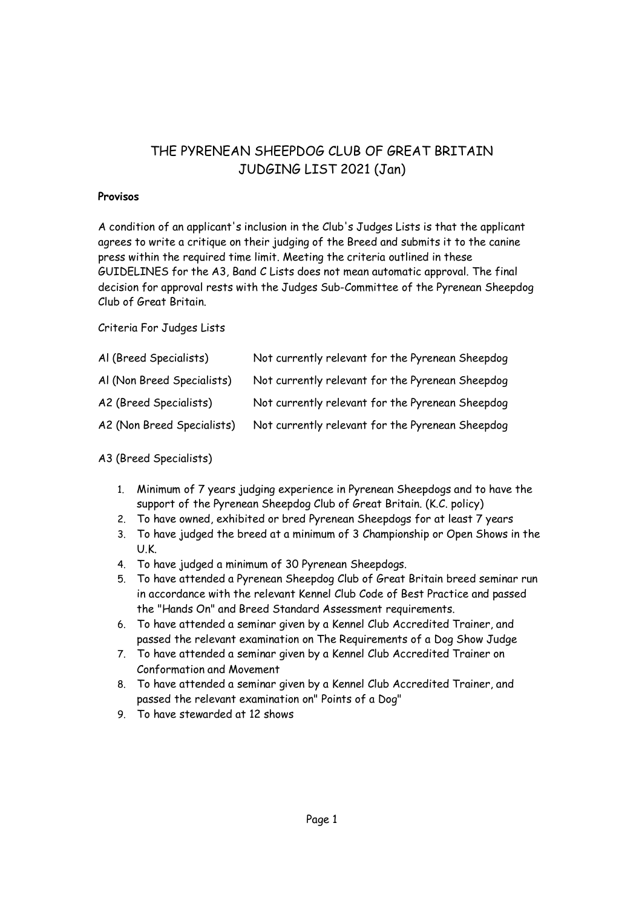# THE PYRENEAN SHEEPDOG CLUB OF GREAT BRITAIN JUDGING LIST 2021 (Jan)

### **Provisos**

A condition of an applicant's inclusion in the Club's Judges Lists is that the applicant agrees to write a critique on their judging of the Breed and submits it to the canine press within the required time limit. Meeting the criteria outlined in these GUIDELINES for the A3, Band C Lists does not mean automatic approval. The final decision for approval rests with the Judges Sub-Committee of the Pyrenean Sheepdog Club of Great Britain.

Criteria For Judges Lists

| Al (Breed Specialists)     | Not currently relevant for the Pyrenean Sheepdog |
|----------------------------|--------------------------------------------------|
| Al (Non Breed Specialists) | Not currently relevant for the Pyrenean Sheepdog |
| A2 (Breed Specialists)     | Not currently relevant for the Pyrenean Sheepdog |
| A2 (Non Breed Specialists) | Not currently relevant for the Pyrenean Sheepdog |

## A3 (Breed Specialists)

- 1. Minimum of 7 years judging experience in Pyrenean Sheepdogs and to have the support of the Pyrenean Sheepdog Club of Great Britain. (K.C. policy)
- 2. To have owned, exhibited or bred Pyrenean Sheepdogs for at least 7 years
- 3. To have judged the breed at a minimum of 3 Championship or Open Shows in the U.K.
- 4. To have judged a minimum of 30 Pyrenean Sheepdogs.
- 5. To have attended a Pyrenean Sheepdog Club of Great Britain breed seminar run in accordance with the relevant Kennel Club Code of Best Practice and passed the "Hands On" and Breed Standard Assessment requirements.
- 6. To have attended a seminar given by a Kennel Club Accredited Trainer, and passed the relevant examination on The Requirements of a Dog Show Judge
- 7. To have attended a seminar given by a Kennel Club Accredited Trainer on Conformation and Movement
- 8. To have attended a seminar given by a Kennel Club Accredited Trainer, and passed the relevant examination on" Points of a Dog"
- 9. To have stewarded at 12 shows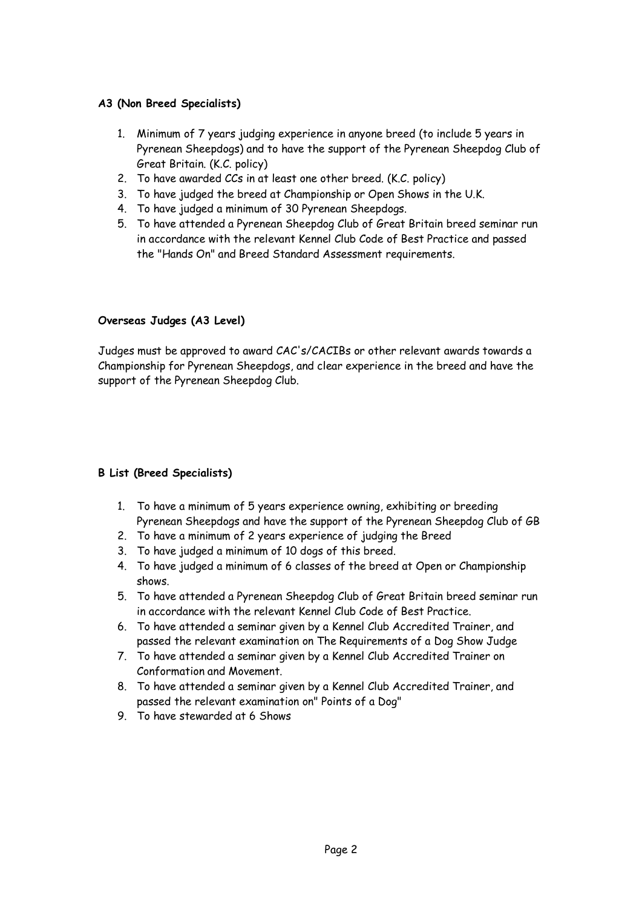### **A3 (Non Breed Specialists)**

- 1. Minimum of 7 years judging experience in anyone breed (to include 5 years in Pyrenean Sheepdogs) and to have the support of the Pyrenean Sheepdog Club of Great Britain. (K.C. policy)
- 2. To have awarded CCs in at least one other breed. (K.C. policy)
- 3. To have judged the breed at Championship or Open Shows in the U.K.
- 4. To have judged a minimum of 30 Pyrenean Sheepdogs.
- 5. To have attended a Pyrenean Sheepdog Club of Great Britain breed seminar run in accordance with the relevant Kennel Club Code of Best Practice and passed the "Hands On" and Breed Standard Assessment requirements.

### **Overseas Judges (A3 Level)**

Judges must be approved to award CAC's/CACIBs or other relevant awards towards a Championship for Pyrenean Sheepdogs, and clear experience in the breed and have the support of the Pyrenean Sheepdog Club.

#### **B List (Breed Specialists)**

- 1. To have a minimum of 5 years experience owning, exhibiting or breeding Pyrenean Sheepdogs and have the support of the Pyrenean Sheepdog Club of GB
- 2. To have a minimum of 2 years experience of judging the Breed
- 3. To have judged a minimum of 10 dogs of this breed.
- 4. To have judged a minimum of 6 classes of the breed at Open or Championship shows.
- 5. To have attended a Pyrenean Sheepdog Club of Great Britain breed seminar run in accordance with the relevant Kennel Club Code of Best Practice.
- 6. To have attended a seminar given by a Kennel Club Accredited Trainer, and passed the relevant examination on The Requirements of a Dog Show Judge
- 7. To have attended a seminar given by a Kennel Club Accredited Trainer on Conformation and Movement.
- 8. To have attended a seminar given by a Kennel Club Accredited Trainer, and passed the relevant examination on" Points of a Dog"
- 9. To have stewarded at 6 Shows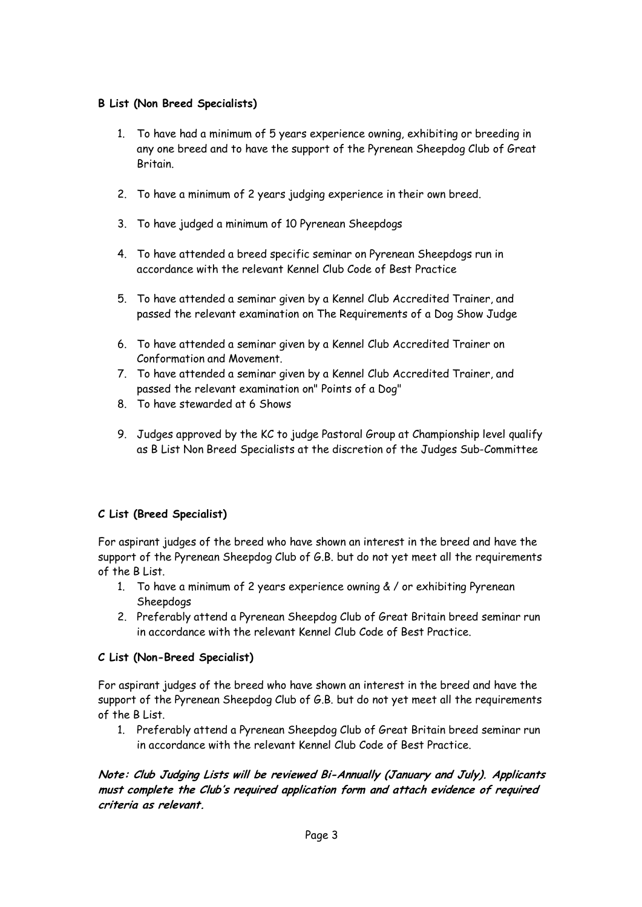## **B List (Non Breed Specialists)**

- 1. To have had a minimum of 5 years experience owning, exhibiting or breeding in any one breed and to have the support of the Pyrenean Sheepdog Club of Great Britain.
- 2. To have a minimum of 2 years judging experience in their own breed.
- 3. To have judged a minimum of 10 Pyrenean Sheepdogs
- 4. To have attended a breed specific seminar on Pyrenean Sheepdogs run in accordance with the relevant Kennel Club Code of Best Practice
- 5. To have attended a seminar given by a Kennel Club Accredited Trainer, and passed the relevant examination on The Requirements of a Dog Show Judge
- 6. To have attended a seminar given by a Kennel Club Accredited Trainer on Conformation and Movement.
- 7. To have attended a seminar given by a Kennel Club Accredited Trainer, and passed the relevant examination on" Points of a Dog"
- 8. To have stewarded at 6 Shows
- 9. Judges approved by the KC to judge Pastoral Group at Championship level qualify as B List Non Breed Specialists at the discretion of the Judges Sub-Committee

## **C List (Breed Specialist)**

For aspirant judges of the breed who have shown an interest in the breed and have the support of the Pyrenean Sheepdog Club of G.B. but do not yet meet all the requirements of the B List.

- 1. To have a minimum of 2 years experience owning & / or exhibiting Pyrenean Sheepdogs
- 2. Preferably attend a Pyrenean Sheepdog Club of Great Britain breed seminar run in accordance with the relevant Kennel Club Code of Best Practice.

#### **C List (Non-Breed Specialist)**

For aspirant judges of the breed who have shown an interest in the breed and have the support of the Pyrenean Sheepdog Club of G.B. but do not yet meet all the requirements of the B List.

1. Preferably attend a Pyrenean Sheepdog Club of Great Britain breed seminar run in accordance with the relevant Kennel Club Code of Best Practice.

**Note: Club Judging Lists will be reviewed Bi-Annually (January and July). Applicants must complete the Club's required application form and attach evidence of required criteria as relevant.**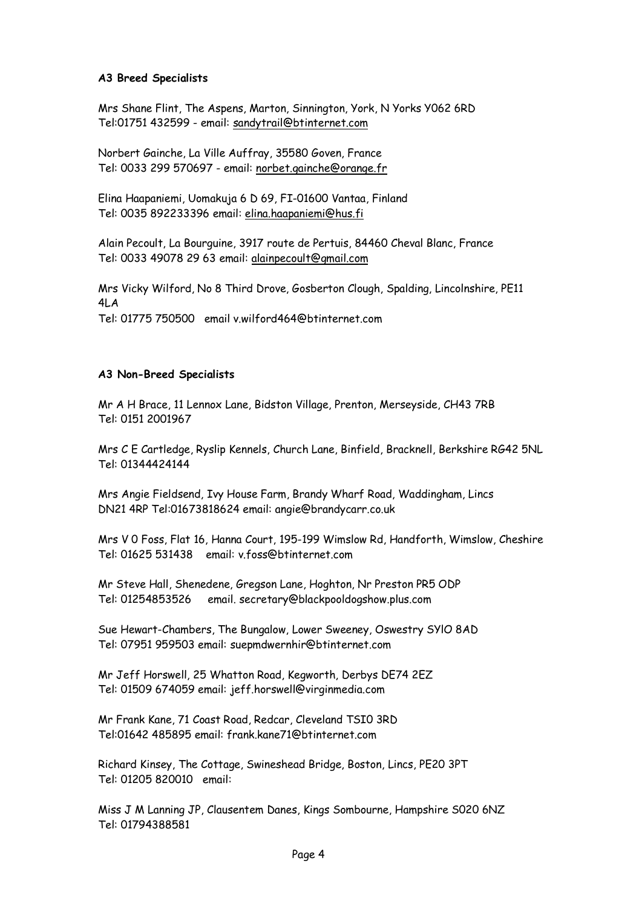#### **A3 Breed Specialists**

Mrs Shane Flint, The Aspens, Marton, Sinnington, York, N Yorks Y062 6RD Tel:01751 432599 - email: sandytrail@btinternet.com

Norbert Gainche, La Ville Auffray, 35580 Goven, France Tel: 0033 299 570697 - email: norbet.gainche@orange.fr

Elina Haapaniemi, Uomakuja 6 D 69, FI-01600 Vantaa, Finland Tel: 0035 892233396 email: elina.haapaniemi@hus.fi

Alain Pecoult, La Bourguine, 3917 route de Pertuis, 84460 Cheval Blanc, France Tel: 0033 49078 29 63 email: alainpecoult@gmail.com

Mrs Vicky Wilford, No 8 Third Drove, Gosberton Clough, Spalding, Lincolnshire, PE11 4LA Tel: 01775 750500 email v.wilford464@btinternet.com

#### **A3 Non-Breed Specialists**

Mr A H Brace, 11 Lennox Lane, Bidston Village, Prenton, Merseyside, CH43 7RB Tel: 0151 2001967

Mrs C E Cartledge, Ryslip Kennels, Church Lane, Binfield, Bracknell, Berkshire RG42 5NL Tel: 01344424144

Mrs Angie Fieldsend, Ivy House Farm, Brandy Wharf Road, Waddingham, Lincs DN21 4RP Tel:01673818624 email: angie@brandycarr.co.uk

Mrs V 0 Foss, Flat 16, Hanna Court, 195-199 Wimslow Rd, Handforth, Wimslow, Cheshire Tel: 01625 531438 email: v.foss@btinternet.com

Mr Steve Hall, Shenedene, Gregson Lane, Hoghton, Nr Preston PR5 ODP Tel: 01254853526 email. secretary@blackpooldogshow.plus.com

Sue Hewart-Chambers, The Bungalow, Lower Sweeney, Oswestry SYlO 8AD Tel: 07951 959503 email: suepmdwernhir@btinternet.com

Mr Jeff Horswell, 25 Whatton Road, Kegworth, Derbys DE74 2EZ Tel: 01509 674059 email: jeff.horswell@virginmedia.com

Mr Frank Kane, 71 Coast Road, Redcar, Cleveland TSI0 3RD Tel:01642 485895 email: frank.kane71@btinternet.com

Richard Kinsey, The Cottage, Swineshead Bridge, Boston, Lincs, PE20 3PT Tel: 01205 820010 email:

Miss J M Lanning JP, Clausentem Danes, Kings Sombourne, Hampshire S020 6NZ Tel: 01794388581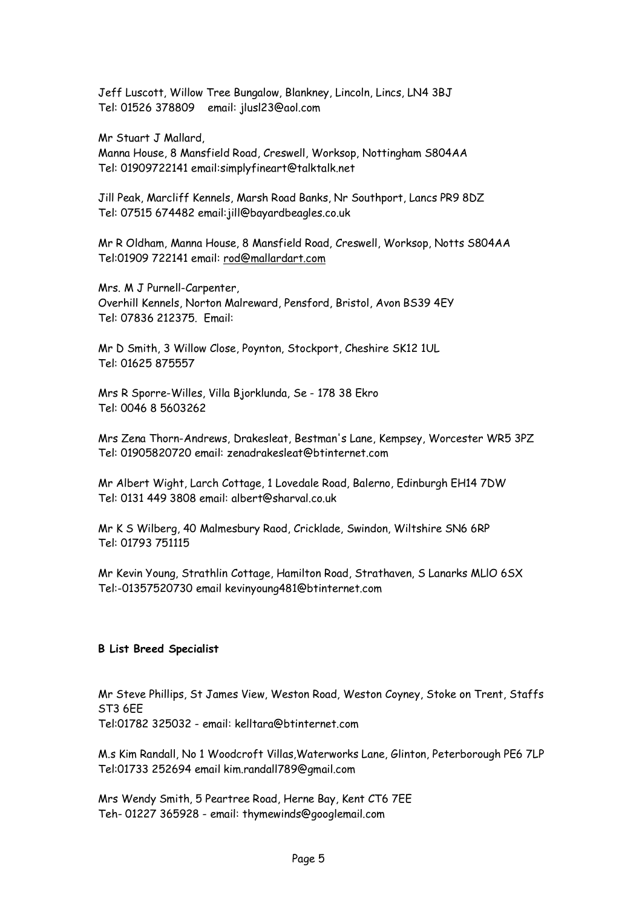Jeff Luscott, Willow Tree Bungalow, Blankney, Lincoln, Lincs, LN4 3BJ Tel: 01526 378809 email: jlusl23@aol.com

Mr Stuart J Mallard,

Manna House, 8 Mansfield Road, Creswell, Worksop, Nottingham S804AA Tel: 01909722141 email:simplyfineart@talktalk.net

Jill Peak, Marcliff Kennels, Marsh Road Banks, Nr Southport, Lancs PR9 8DZ Tel: 07515 674482 email:jill@bayardbeagles.co.uk

Mr R Oldham, Manna House, 8 Mansfield Road, Creswell, Worksop, Notts S804AA Tel:01909 722141 email: rod@mallardart.com

Mrs. M J Purnell-Carpenter, Overhill Kennels, Norton Malreward, Pensford, Bristol, Avon BS39 4EY Tel: 07836 212375. Email:

Mr D Smith, 3 Willow Close, Poynton, Stockport, Cheshire SK12 1UL Tel: 01625 875557

Mrs R Sporre-Willes, Villa Bjorklunda, Se - 178 38 Ekro Tel: 0046 8 5603262

Mrs Zena Thorn-Andrews, Drakesleat, Bestman's Lane, Kempsey, Worcester WR5 3PZ Tel: 01905820720 email: zenadrakesleat@btinternet.com

Mr Albert Wight, Larch Cottage, 1 Lovedale Road, Balerno, Edinburgh EH14 7DW Tel: 0131 449 3808 email: albert@sharval.co.uk

Mr K S Wilberg, 40 Malmesbury Raod, Cricklade, Swindon, Wiltshire SN6 6RP Tel: 01793 751115

Mr Kevin Young, Strathlin Cottage, Hamilton Road, Strathaven, S Lanarks MLlO 6SX Tel:-01357520730 email kevinyoung481@btinternet.com

#### **B List Breed Specialist**

Mr Steve Phillips, St James View, Weston Road, Weston Coyney, Stoke on Trent, Staffs ST3 6EE Tel:01782 325032 - email: kelltara@btinternet.com

M.s Kim Randall, No 1 Woodcroft Villas,Waterworks Lane, Glinton, Peterborough PE6 7LP Tel:01733 252694 email kim.randall789@gmail.com

Mrs Wendy Smith, 5 Peartree Road, Herne Bay, Kent CT6 7EE Teh- 01227 365928 - email: thymewinds@googlemail.com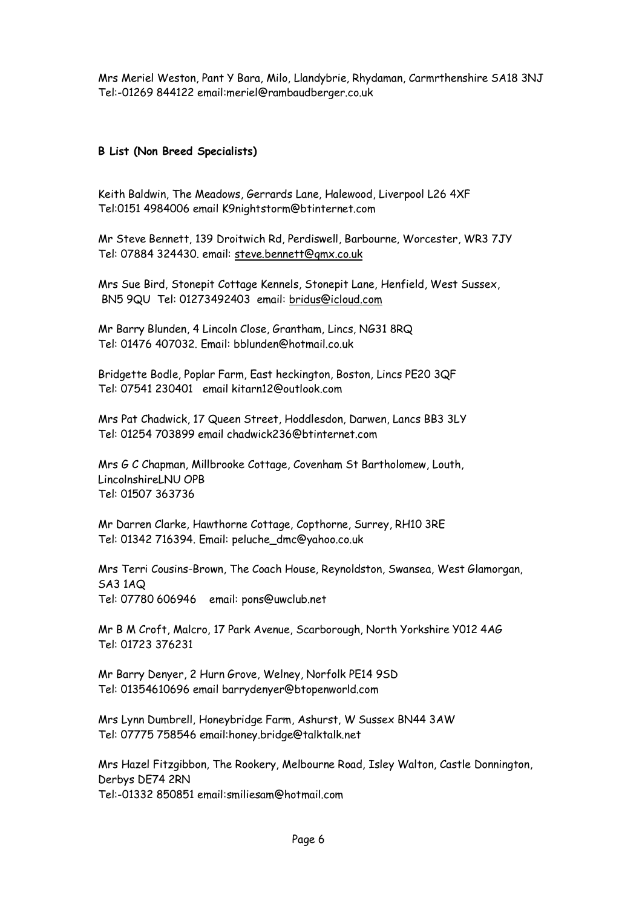Mrs Meriel Weston, Pant Y Bara, Milo, Llandybrie, Rhydaman, Carmrthenshire SA18 3NJ Tel:-01269 844122 email:meriel@rambaudberger.co.uk

#### **B List (Non Breed Specialists)**

Keith Baldwin, The Meadows, Gerrards Lane, Halewood, Liverpool L26 4XF Tel:0151 4984006 email K9nightstorm@btinternet.com

Mr Steve Bennett, 139 Droitwich Rd, Perdiswell, Barbourne, Worcester, WR3 7JY Tel: 07884 324430. email: steve.bennett@gmx.co.uk

Mrs Sue Bird, Stonepit Cottage Kennels, Stonepit Lane, Henfield, West Sussex, BN5 9QU Tel: 01273492403 email: bridus@icloud.com

Mr Barry Blunden, 4 Lincoln Close, Grantham, Lincs, NG31 8RQ Tel: 01476 407032. Email: bblunden@hotmail.co.uk

Bridgette Bodle, Poplar Farm, East heckington, Boston, Lincs PE20 3QF Tel: 07541 230401 email kitarn12@outlook.com

Mrs Pat Chadwick, 17 Queen Street, Hoddlesdon, Darwen, Lancs BB3 3LY Tel: 01254 703899 email chadwick236@btinternet.com

Mrs G C Chapman, Millbrooke Cottage, Covenham St Bartholomew, Louth, LincolnshireLNU OPB Tel: 01507 363736

Mr Darren Clarke, Hawthorne Cottage, Copthorne, Surrey, RH10 3RE Tel: 01342 716394. Email: peluche\_dmc@yahoo.co.uk

Mrs Terri Cousins-Brown, The Coach House, Reynoldston, Swansea, West Glamorgan, SA3 1AQ Tel: 07780 606946 email: pons@uwclub.net

Mr B M Croft, Malcro, 17 Park Avenue, Scarborough, North Yorkshire Y012 4AG Tel: 01723 376231

Mr Barry Denyer, 2 Hurn Grove, Welney, Norfolk PE14 9SD Tel: 01354610696 email barrydenyer@btopenworld.com

Mrs Lynn Dumbrell, Honeybridge Farm, Ashurst, W Sussex BN44 3AW Tel: 07775 758546 email:honey.bridge@talktalk.net

Mrs Hazel Fitzgibbon, The Rookery, Melbourne Road, Isley Walton, Castle Donnington, Derbys DE74 2RN Tel:-01332 850851 email:smiliesam@hotmail.com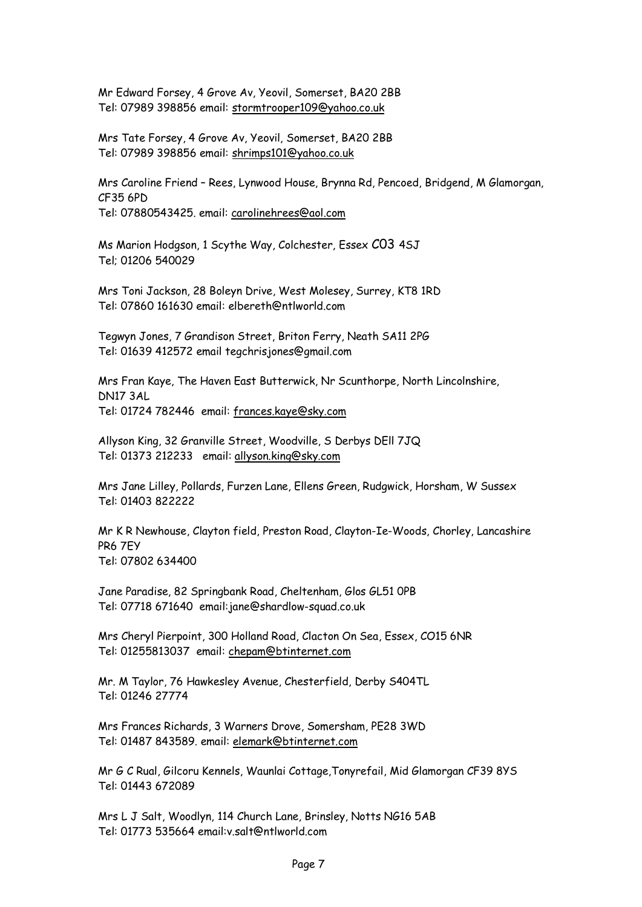Mr Edward Forsey, 4 Grove Av, Yeovil, Somerset, BA20 2BB Tel: 07989 398856 email: stormtrooper109@yahoo.co.uk

Mrs Tate Forsey, 4 Grove Av, Yeovil, Somerset, BA20 2BB Tel: 07989 398856 email: shrimps101@yahoo.co.uk

Mrs Caroline Friend – Rees, Lynwood House, Brynna Rd, Pencoed, Bridgend, M Glamorgan, CF35 6PD Tel: 07880543425. email: carolinehrees@aol.com

Ms Marion Hodgson, 1 Scythe Way, Colchester, Essex C03 4SJ Tel; 01206 540029

Mrs Toni Jackson, 28 Boleyn Drive, West Molesey, Surrey, KT8 1RD Tel: 07860 161630 email: elbereth@ntlworld.com

Tegwyn Jones, 7 Grandison Street, Briton Ferry, Neath SA11 2PG Tel: 01639 412572 email tegchrisjones@gmail.com

Mrs Fran Kaye, The Haven East Butterwick, Nr Scunthorpe, North Lincolnshire, DN17 3AL Tel: 01724 782446 email: frances.kaye@sky.com

Allyson King, 32 Granville Street, Woodville, S Derbys DEll 7JQ Tel: 01373 212233 email: allyson.king@sky.com

Mrs Jane Lilley, Pollards, Furzen Lane, Ellens Green, Rudgwick, Horsham, W Sussex Tel: 01403 822222

Mr K R Newhouse, Clayton field, Preston Road, Clayton-Ie-Woods, Chorley, Lancashire PR6 7EY Tel: 07802 634400

Jane Paradise, 82 Springbank Road, Cheltenham, Glos GL51 0PB Tel: 07718 671640 email:jane@shardlow-squad.co.uk

Mrs Cheryl Pierpoint, 300 Holland Road, Clacton On Sea, Essex, CO15 6NR Tel: 01255813037 email: chepam@btinternet.com

Mr. M Taylor, 76 Hawkesley Avenue, Chesterfield, Derby S404TL Tel: 01246 27774

Mrs Frances Richards, 3 Warners Drove, Somersham, PE28 3WD Tel: 01487 843589. email: elemark@btinternet.com

Mr G C Rual, Gilcoru Kennels, Waunlai Cottage,Tonyrefail, Mid Glamorgan CF39 8YS Tel: 01443 672089

Mrs L J Salt, Woodlyn, 114 Church Lane, Brinsley, Notts NG16 5AB Tel: 01773 535664 email:v.salt@ntlworld.com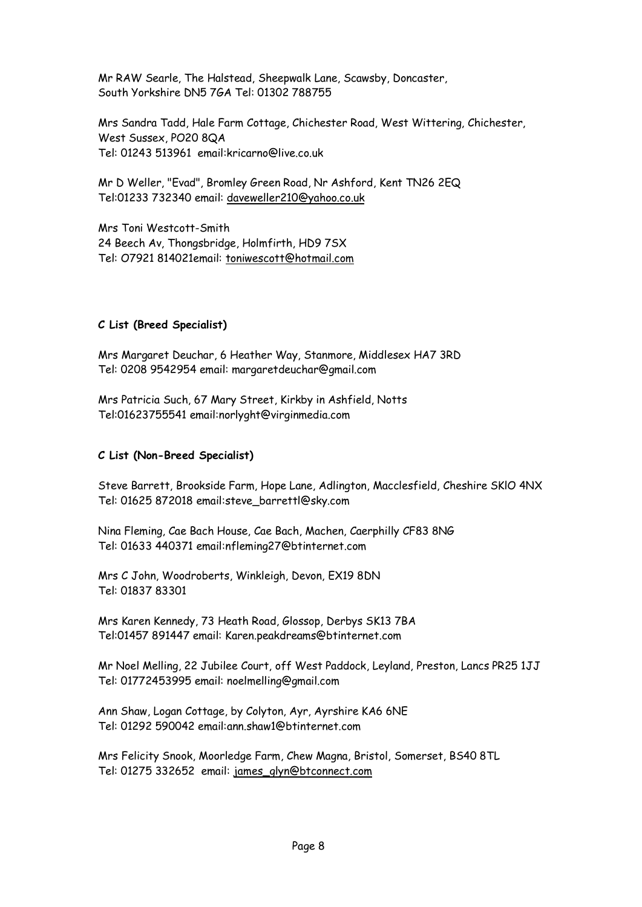Mr RAW Searle, The Halstead, Sheepwalk Lane, Scawsby, Doncaster, South Yorkshire DN5 7GA Tel: 01302 788755

Mrs Sandra Tadd, Hale Farm Cottage, Chichester Road, West Wittering, Chichester, West Sussex, PO20 8QA Tel: 01243 513961 email:kricarno@live.co.uk

Mr D Weller, "Evad", Bromley Green Road, Nr Ashford, Kent TN26 2EQ Tel:01233 732340 email: daveweller210@yahoo.co.uk

Mrs Toni Westcott-Smith 24 Beech Av, Thongsbridge, Holmfirth, HD9 7SX Tel: O7921 814021email: toniwescott@hotmail.com

#### **C List (Breed Specialist)**

Mrs Margaret Deuchar, 6 Heather Way, Stanmore, Middlesex HA7 3RD Tel: 0208 9542954 email: margaretdeuchar@gmail.com

Mrs Patricia Such, 67 Mary Street, Kirkby in Ashfield, Notts Tel:01623755541 email:norlyght@virginmedia.com

#### **C List (Non-Breed Specialist)**

Steve Barrett, Brookside Farm, Hope Lane, Adlington, Macclesfield, Cheshire SKlO 4NX Tel: 01625 872018 email:steve\_barrettl@sky.com

Nina Fleming, Cae Bach House, Cae Bach, Machen, Caerphilly CF83 8NG Tel: 01633 440371 email:nfleming27@btinternet.com

Mrs C John, Woodroberts, Winkleigh, Devon, EX19 8DN Tel: 01837 83301

Mrs Karen Kennedy, 73 Heath Road, Glossop, Derbys SK13 7BA Tel:01457 891447 email: Karen.peakdreams@btinternet.com

Mr Noel Melling, 22 Jubilee Court, off West Paddock, Leyland, Preston, Lancs PR25 1JJ Tel: 01772453995 email: noelmelling@gmail.com

Ann Shaw, Logan Cottage, by Colyton, Ayr, Ayrshire KA6 6NE Tel: 01292 590042 email:ann.shaw1@btinternet.com

Mrs Felicity Snook, Moorledge Farm, Chew Magna, Bristol, Somerset, BS40 8TL Tel: 01275 332652 email: james\_glyn@btconnect.com